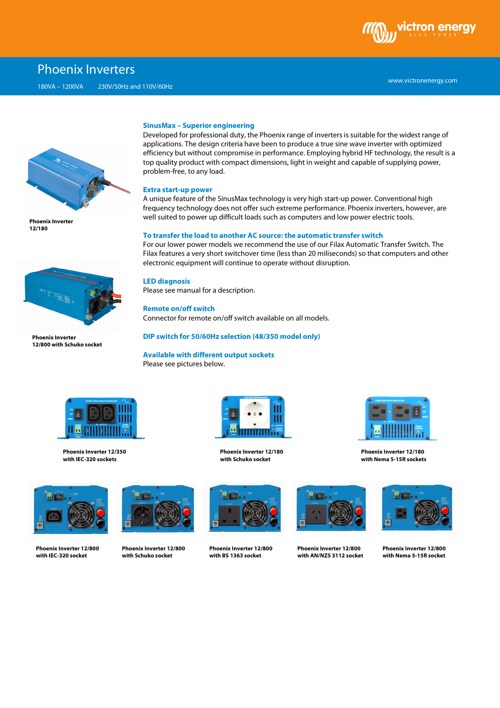

www.victronenergy.com

# Phoenix Inverters

180VA – 1200VA 230V/50Hz and 110V/60Hz



**Phoenix Inverter 12/180** 



**Phoenix Inverter 12/800 with Schuko socket** 

#### **SinusMax – Superior engineering**

Developed for professional duty, the Phoenix range of inverters is suitable for the widest range of applications. The design criteria have been to produce a true sine wave inverter with optimized efficiency but without compromise in performance. Employing hybrid HF technology, the result is a top quality product with compact dimensions, light in weight and capable of supplying power, problem-free, to any load.

### **Extra start-up power**

A unique feature of the SinusMax technology is very high start-up power. Conventional high frequency technology does not offer such extreme performance. Phoenix inverters, however, are well suited to power up difficult loads such as computers and low power electric tools.

#### **To transfer the load to another AC source: the automatic transfer switch**

For our lower power models we recommend the use of our Filax Automatic Transfer Switch. The Filax features a very short switchover time (less than 20 miliseconds) so that computers and other electronic equipment will continue to operate without disruption.

**LED diagnosis** 

Please see manual for a description.

## **Remote on/off switch**

Connector for remote on/off switch available on all models.

## **DIP switch for 50/60Hz selection (48/350 model only)**

**Available with different output sockets**  Please see pictures below.



**Phoenix Inverter 12/350 with IEC-320 sockets** 



**Phoenix Inverter 12/180 with Schuko socket**



**Phoenix Inverter 12/180 with Nema 5-15R sockets**



**Phoenix Inverter 12/800 with IEC-320 socket** 



**Phoenix Inverter 12/800 with Schuko socket**



**Phoenix Inverter 12/800 with BS 1363 socket**



**Phoenix Inverter 12/800 with AN/NZS 3112 socket**



**Phoenix Inverter 12/800 with Nema 5-15R socket**